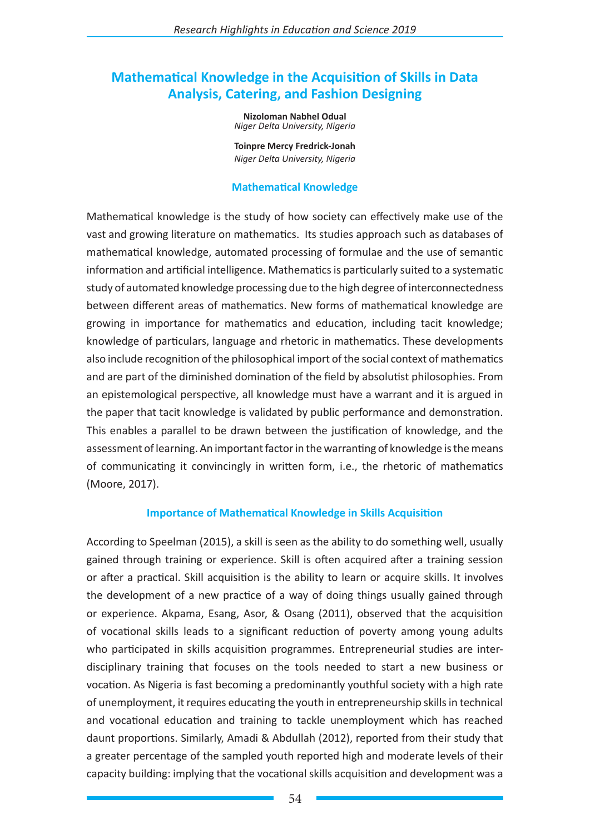# **Mathematical Knowledge in the Acquisition of Skills in Data Analysis, Catering, and Fashion Designing**

**Nizoloman Nabhel Odual** *Niger Delta University, Nigeria*

**Toinpre Mercy Fredrick-Jonah**  *Niger Delta University, Nigeria*

### **Mathematical Knowledge**

Mathematical knowledge is the study of how society can effectively make use of the vast and growing literature on mathematics. Its studies approach such as databases of mathematical knowledge, automated processing of formulae and the use of semantic information and artificial intelligence. Mathematics is particularly suited to a systematic study of automated knowledge processing due to the high degree of interconnectedness between different areas of mathematics. New forms of mathematical knowledge are growing in importance for mathematics and education, including tacit knowledge; knowledge of particulars, language and rhetoric in mathematics. These developments also include recognition of the philosophical import of the social context of mathematics and are part of the diminished domination of the field by absolutist philosophies. From an epistemological perspective, all knowledge must have a warrant and it is argued in the paper that tacit knowledge is validated by public performance and demonstration. This enables a parallel to be drawn between the justification of knowledge, and the assessment of learning. An important factor in the warranting of knowledge is the means of communicating it convincingly in written form, i.e., the rhetoric of mathematics (Moore, 2017).

### **Importance of Mathematical Knowledge in Skills Acquisition**

According to Speelman (2015), a skill is seen as the ability to do something well, usually gained through training or experience. Skill is often acquired after a training session or after a practical. Skill acquisition is the ability to learn or acquire skills. It involves the development of a new practice of a way of doing things usually gained through or experience. Akpama, Esang, Asor, & Osang (2011), observed that the acquisition of vocational skills leads to a significant reduction of poverty among young adults who participated in skills acquisition programmes. Entrepreneurial studies are interdisciplinary training that focuses on the tools needed to start a new business or vocation. As Nigeria is fast becoming a predominantly youthful society with a high rate of unemployment, it requires educating the youth in entrepreneurship skills in technical and vocational education and training to tackle unemployment which has reached daunt proportions. Similarly, Amadi & Abdullah (2012), reported from their study that a greater percentage of the sampled youth reported high and moderate levels of their capacity building: implying that the vocational skills acquisition and development was a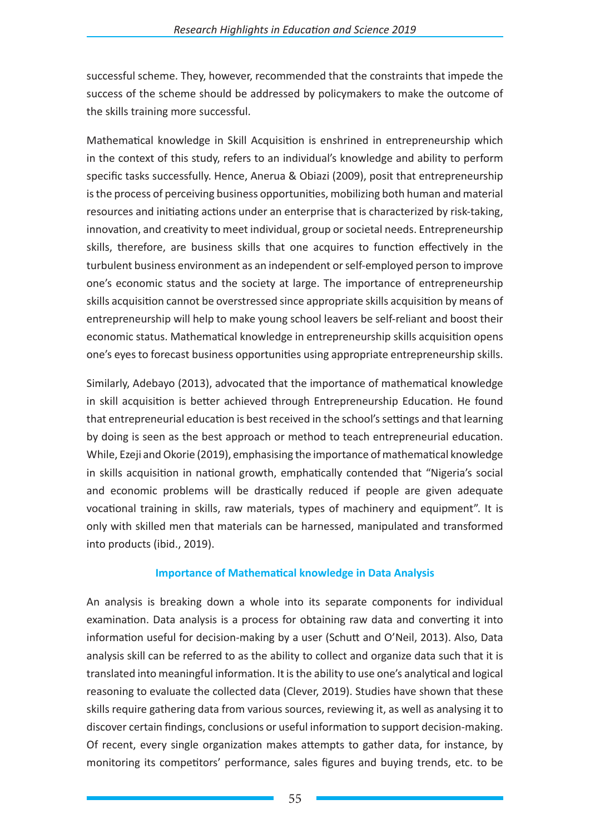successful scheme. They, however, recommended that the constraints that impede the success of the scheme should be addressed by policymakers to make the outcome of the skills training more successful.

Mathematical knowledge in Skill Acquisition is enshrined in entrepreneurship which in the context of this study, refers to an individual's knowledge and ability to perform specific tasks successfully. Hence, Anerua & Obiazi (2009), posit that entrepreneurship is the process of perceiving business opportunities, mobilizing both human and material resources and initiating actions under an enterprise that is characterized by risk-taking, innovation, and creativity to meet individual, group or societal needs. Entrepreneurship skills, therefore, are business skills that one acquires to function effectively in the turbulent business environment as an independent or self-employed person to improve one's economic status and the society at large. The importance of entrepreneurship skills acquisition cannot be overstressed since appropriate skills acquisition by means of entrepreneurship will help to make young school leavers be self-reliant and boost their economic status. Mathematical knowledge in entrepreneurship skills acquisition opens one's eyes to forecast business opportunities using appropriate entrepreneurship skills.

Similarly, Adebayo (2013), advocated that the importance of mathematical knowledge in skill acquisition is better achieved through Entrepreneurship Education. He found that entrepreneurial education is best received in the school's settings and that learning by doing is seen as the best approach or method to teach entrepreneurial education. While, Ezeji and Okorie (2019), emphasising the importance of mathematical knowledge in skills acquisition in national growth, emphatically contended that "Nigeria's social and economic problems will be drastically reduced if people are given adequate vocational training in skills, raw materials, types of machinery and equipment". It is only with skilled men that materials can be harnessed, manipulated and transformed into products (ibid., 2019).

### **Importance of Mathematical knowledge in Data Analysis**

An analysis is breaking down a whole into its separate components for individual examination. Data analysis is a process for obtaining raw data and converting it into information useful for decision-making by a user (Schutt and O'Neil, 2013). Also, Data analysis skill can be referred to as the ability to collect and organize data such that it is translated into meaningful information. It is the ability to use one's analytical and logical reasoning to evaluate the collected data (Clever, 2019). Studies have shown that these skills require gathering data from various sources, reviewing it, as well as analysing it to discover certain findings, conclusions or useful information to support decision-making. Of recent, every single organization makes attempts to gather data, for instance, by monitoring its competitors' performance, sales figures and buying trends, etc. to be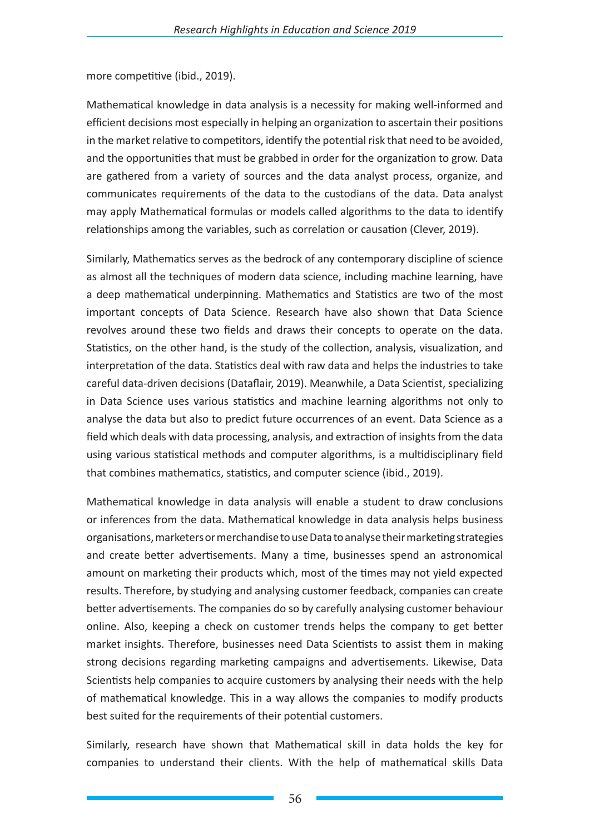more competitive (ibid., 2019).

Mathematical knowledge in data analysis is a necessity for making well-informed and efficient decisions most especially in helping an organization to ascertain their positions in the market relative to competitors, identify the potential risk that need to be avoided, and the opportunities that must be grabbed in order for the organization to grow. Data are gathered from a variety of sources and the data analyst process, organize, and communicates requirements of the data to the custodians of the data. Data analyst may apply Mathematical formulas or models called algorithms to the data to identify relationships among the variables, such as correlation or causation (Clever, 2019).

Similarly, Mathematics serves as the bedrock of any contemporary discipline of science as almost all the techniques of modern data science, including machine learning, have a deep mathematical underpinning. Mathematics and Statistics are two of the most important concepts of Data Science. Research have also shown that Data Science revolves around these two fields and draws their concepts to operate on the data. Statistics, on the other hand, is the study of the collection, analysis, visualization, and interpretation of the data. Statistics deal with raw data and helps the industries to take careful data-driven decisions (Dataflair, 2019). Meanwhile, a Data Scientist, specializing in Data Science uses various statistics and machine learning algorithms not only to analyse the data but also to predict future occurrences of an event. Data Science as a field which deals with data processing, analysis, and extraction of insights from the data using various statistical methods and computer algorithms, is a multidisciplinary field that combines mathematics, statistics, and computer science (ibid., 2019).

Mathematical knowledge in data analysis will enable a student to draw conclusions or inferences from the data. Mathematical knowledge in data analysis helps business organisations, marketers or merchandise to use Data to analyse their marketing strategies and create better advertisements. Many a time, businesses spend an astronomical amount on marketing their products which, most of the times may not yield expected results. Therefore, by studying and analysing customer feedback, companies can create better advertisements. The companies do so by carefully analysing customer behaviour online. Also, keeping a check on customer trends helps the company to get better market insights. Therefore, businesses need Data Scientists to assist them in making strong decisions regarding marketing campaigns and advertisements. Likewise, Data Scientists help companies to acquire customers by analysing their needs with the help of mathematical knowledge. This in a way allows the companies to modify products best suited for the requirements of their potential customers.

Similarly, research have shown that Mathematical skill in data holds the key for companies to understand their clients. With the help of mathematical skills Data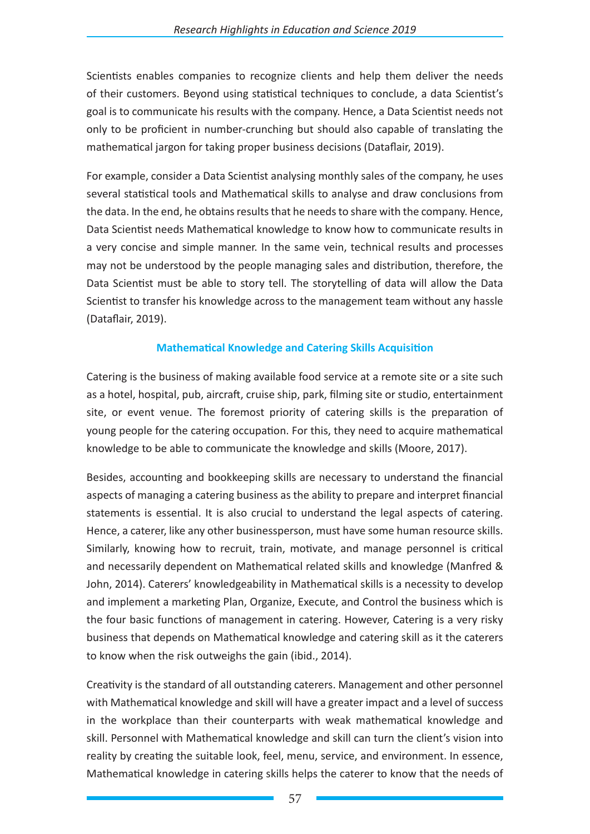Scientists enables companies to recognize clients and help them deliver the needs of their customers. Beyond using statistical techniques to conclude, a data Scientist's goal is to communicate his results with the company. Hence, a Data Scientist needs not only to be proficient in number-crunching but should also capable of translating the mathematical jargon for taking proper business decisions (Dataflair, 2019).

For example, consider a Data Scientist analysing monthly sales of the company, he uses several statistical tools and Mathematical skills to analyse and draw conclusions from the data. In the end, he obtains results that he needs to share with the company. Hence, Data Scientist needs Mathematical knowledge to know how to communicate results in a very concise and simple manner. In the same vein, technical results and processes may not be understood by the people managing sales and distribution, therefore, the Data Scientist must be able to story tell. The storytelling of data will allow the Data Scientist to transfer his knowledge across to the management team without any hassle (Dataflair, 2019).

# **Mathematical Knowledge and Catering Skills Acquisition**

Catering is the business of making available food service at a remote site or a site such as a hotel, hospital, pub, aircraft, cruise ship, park, filming site or studio, entertainment site, or event venue. The foremost priority of catering skills is the preparation of young people for the catering occupation. For this, they need to acquire mathematical knowledge to be able to communicate the knowledge and skills (Moore, 2017).

Besides, accounting and bookkeeping skills are necessary to understand the financial aspects of managing a catering business as the ability to prepare and interpret financial statements is essential. It is also crucial to understand the legal aspects of catering. Hence, a caterer, like any other businessperson, must have some human resource skills. Similarly, knowing how to recruit, train, motivate, and manage personnel is critical and necessarily dependent on Mathematical related skills and knowledge (Manfred & John, 2014). Caterers' knowledgeability in Mathematical skills is a necessity to develop and implement a marketing Plan, Organize, Execute, and Control the business which is the four basic functions of management in catering. However, Catering is a very risky business that depends on Mathematical knowledge and catering skill as it the caterers to know when the risk outweighs the gain (ibid., 2014).

Creativity is the standard of all outstanding caterers. Management and other personnel with Mathematical knowledge and skill will have a greater impact and a level of success in the workplace than their counterparts with weak mathematical knowledge and skill. Personnel with Mathematical knowledge and skill can turn the client's vision into reality by creating the suitable look, feel, menu, service, and environment. In essence, Mathematical knowledge in catering skills helps the caterer to know that the needs of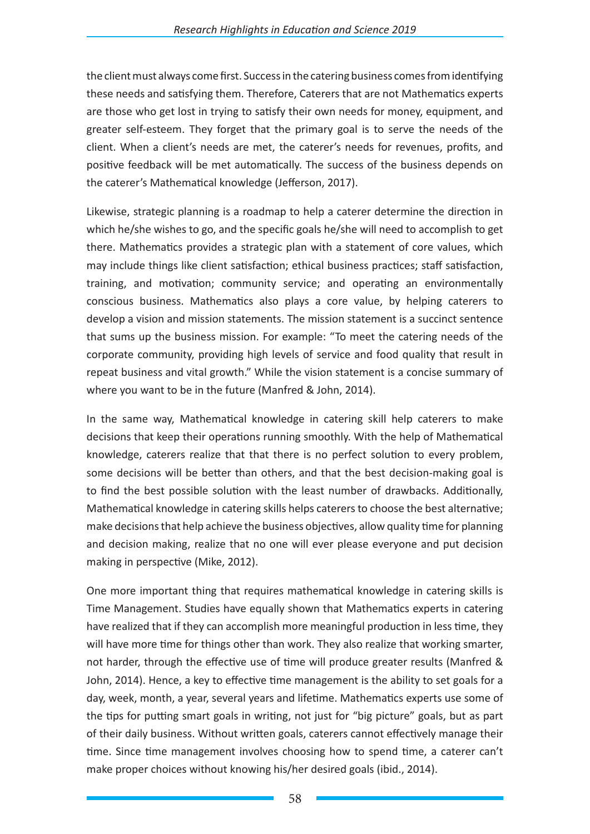the client must always come first. Success in the catering business comes from identifying these needs and satisfying them. Therefore, Caterers that are not Mathematics experts are those who get lost in trying to satisfy their own needs for money, equipment, and greater self-esteem. They forget that the primary goal is to serve the needs of the client. When a client's needs are met, the caterer's needs for revenues, profits, and positive feedback will be met automatically. The success of the business depends on the caterer's Mathematical knowledge (Jefferson, 2017).

Likewise, strategic planning is a roadmap to help a caterer determine the direction in which he/she wishes to go, and the specific goals he/she will need to accomplish to get there. Mathematics provides a strategic plan with a statement of core values, which may include things like client satisfaction; ethical business practices; staff satisfaction, training, and motivation; community service; and operating an environmentally conscious business. Mathematics also plays a core value, by helping caterers to develop a vision and mission statements. The mission statement is a succinct sentence that sums up the business mission. For example: "To meet the catering needs of the corporate community, providing high levels of service and food quality that result in repeat business and vital growth." While the vision statement is a concise summary of where you want to be in the future (Manfred & John, 2014).

In the same way, Mathematical knowledge in catering skill help caterers to make decisions that keep their operations running smoothly. With the help of Mathematical knowledge, caterers realize that that there is no perfect solution to every problem, some decisions will be better than others, and that the best decision-making goal is to find the best possible solution with the least number of drawbacks. Additionally, Mathematical knowledge in catering skills helps caterers to choose the best alternative; make decisions that help achieve the business objectives, allow quality time for planning and decision making, realize that no one will ever please everyone and put decision making in perspective (Mike, 2012).

One more important thing that requires mathematical knowledge in catering skills is Time Management. Studies have equally shown that Mathematics experts in catering have realized that if they can accomplish more meaningful production in less time, they will have more time for things other than work. They also realize that working smarter, not harder, through the effective use of time will produce greater results (Manfred & John, 2014). Hence, a key to effective time management is the ability to set goals for a day, week, month, a year, several years and lifetime. Mathematics experts use some of the tips for putting smart goals in writing, not just for "big picture" goals, but as part of their daily business. Without written goals, caterers cannot effectively manage their time. Since time management involves choosing how to spend time, a caterer can't make proper choices without knowing his/her desired goals (ibid., 2014).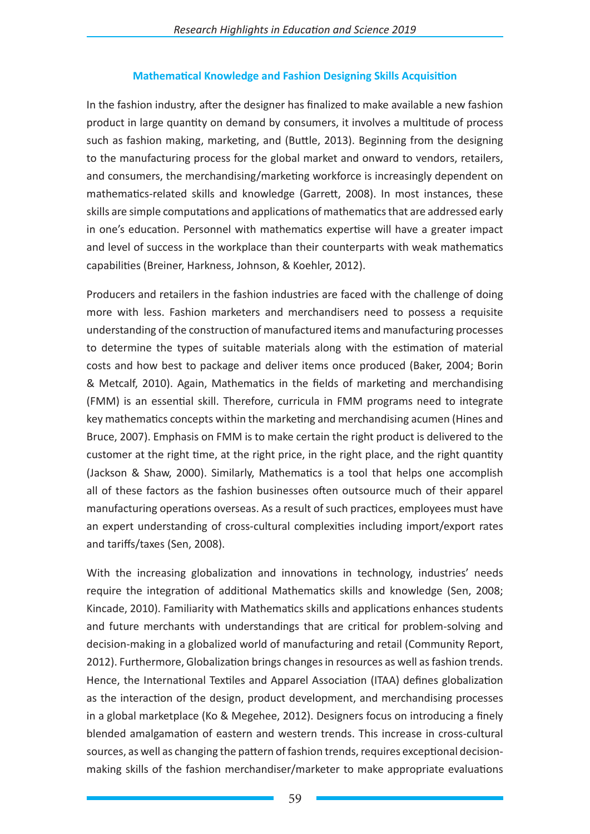# **Mathematical Knowledge and Fashion Designing Skills Acquisition**

In the fashion industry, after the designer has finalized to make available a new fashion product in large quantity on demand by consumers, it involves a multitude of process such as fashion making, marketing, and (Buttle, 2013). Beginning from the designing to the manufacturing process for the global market and onward to vendors, retailers, and consumers, the merchandising/marketing workforce is increasingly dependent on mathematics-related skills and knowledge (Garrett, 2008). In most instances, these skills are simple computations and applications of mathematics that are addressed early in one's education. Personnel with mathematics expertise will have a greater impact and level of success in the workplace than their counterparts with weak mathematics capabilities (Breiner, Harkness, Johnson, & Koehler, 2012).

Producers and retailers in the fashion industries are faced with the challenge of doing more with less. Fashion marketers and merchandisers need to possess a requisite understanding of the construction of manufactured items and manufacturing processes to determine the types of suitable materials along with the estimation of material costs and how best to package and deliver items once produced (Baker, 2004; Borin & Metcalf, 2010). Again, Mathematics in the fields of marketing and merchandising (FMM) is an essential skill. Therefore, curricula in FMM programs need to integrate key mathematics concepts within the marketing and merchandising acumen (Hines and Bruce, 2007). Emphasis on FMM is to make certain the right product is delivered to the customer at the right time, at the right price, in the right place, and the right quantity (Jackson & Shaw, 2000). Similarly, Mathematics is a tool that helps one accomplish all of these factors as the fashion businesses often outsource much of their apparel manufacturing operations overseas. As a result of such practices, employees must have an expert understanding of cross-cultural complexities including import/export rates and tariffs/taxes (Sen, 2008).

With the increasing globalization and innovations in technology, industries' needs require the integration of additional Mathematics skills and knowledge (Sen, 2008; Kincade, 2010). Familiarity with Mathematics skills and applications enhances students and future merchants with understandings that are critical for problem-solving and decision-making in a globalized world of manufacturing and retail (Community Report, 2012). Furthermore, Globalization brings changes in resources as well as fashion trends. Hence, the International Textiles and Apparel Association (ITAA) defines globalization as the interaction of the design, product development, and merchandising processes in a global marketplace (Ko & Megehee, 2012). Designers focus on introducing a finely blended amalgamation of eastern and western trends. This increase in cross-cultural sources, as well as changing the pattern of fashion trends, requires exceptional decisionmaking skills of the fashion merchandiser/marketer to make appropriate evaluations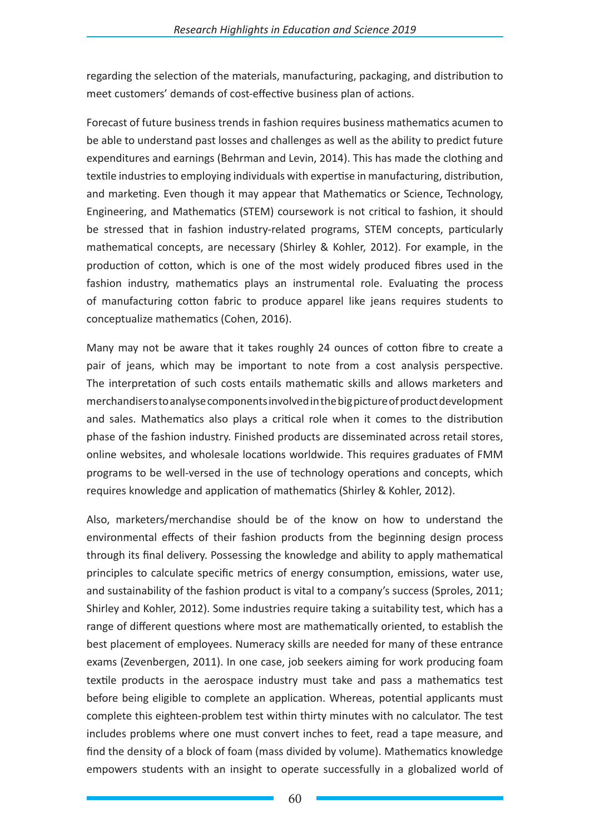regarding the selection of the materials, manufacturing, packaging, and distribution to meet customers' demands of cost-effective business plan of actions.

Forecast of future business trends in fashion requires business mathematics acumen to be able to understand past losses and challenges as well as the ability to predict future expenditures and earnings (Behrman and Levin, 2014). This has made the clothing and textile industries to employing individuals with expertise in manufacturing, distribution, and marketing. Even though it may appear that Mathematics or Science, Technology, Engineering, and Mathematics (STEM) coursework is not critical to fashion, it should be stressed that in fashion industry-related programs, STEM concepts, particularly mathematical concepts, are necessary (Shirley & Kohler, 2012). For example, in the production of cotton, which is one of the most widely produced fibres used in the fashion industry, mathematics plays an instrumental role. Evaluating the process of manufacturing cotton fabric to produce apparel like jeans requires students to conceptualize mathematics (Cohen, 2016).

Many may not be aware that it takes roughly 24 ounces of cotton fibre to create a pair of jeans, which may be important to note from a cost analysis perspective. The interpretation of such costs entails mathematic skills and allows marketers and merchandisers to analyse components involved in the big picture of product development and sales. Mathematics also plays a critical role when it comes to the distribution phase of the fashion industry. Finished products are disseminated across retail stores, online websites, and wholesale locations worldwide. This requires graduates of FMM programs to be well-versed in the use of technology operations and concepts, which requires knowledge and application of mathematics (Shirley & Kohler, 2012).

Also, marketers/merchandise should be of the know on how to understand the environmental effects of their fashion products from the beginning design process through its final delivery. Possessing the knowledge and ability to apply mathematical principles to calculate specific metrics of energy consumption, emissions, water use, and sustainability of the fashion product is vital to a company's success (Sproles, 2011; Shirley and Kohler, 2012). Some industries require taking a suitability test, which has a range of different questions where most are mathematically oriented, to establish the best placement of employees. Numeracy skills are needed for many of these entrance exams (Zevenbergen, 2011). In one case, job seekers aiming for work producing foam textile products in the aerospace industry must take and pass a mathematics test before being eligible to complete an application. Whereas, potential applicants must complete this eighteen-problem test within thirty minutes with no calculator. The test includes problems where one must convert inches to feet, read a tape measure, and find the density of a block of foam (mass divided by volume). Mathematics knowledge empowers students with an insight to operate successfully in a globalized world of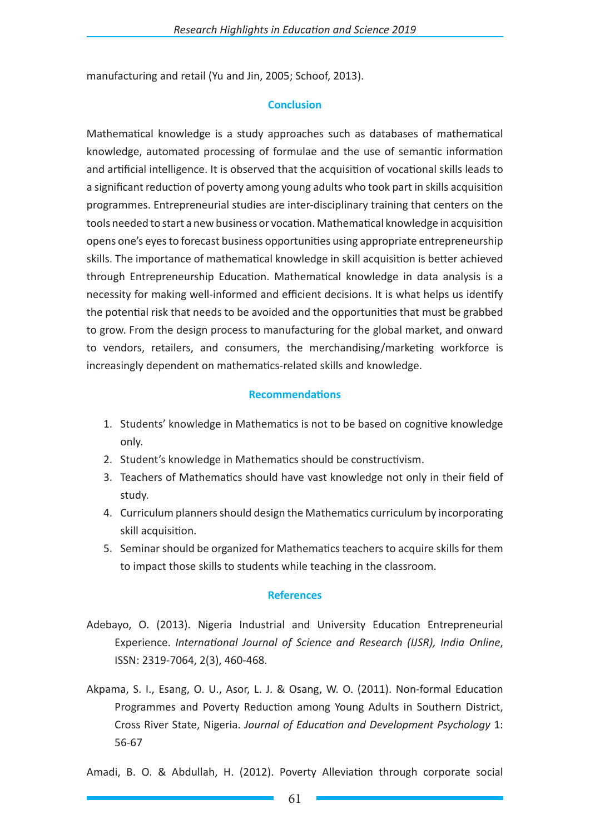manufacturing and retail (Yu and Jin, 2005; Schoof, 2013).

### **Conclusion**

Mathematical knowledge is a study approaches such as databases of mathematical knowledge, automated processing of formulae and the use of semantic information and artificial intelligence. It is observed that the acquisition of vocational skills leads to a significant reduction of poverty among young adults who took part in skills acquisition programmes. Entrepreneurial studies are inter-disciplinary training that centers on the tools needed to start a new business or vocation. Mathematical knowledge in acquisition opens one's eyes to forecast business opportunities using appropriate entrepreneurship skills. The importance of mathematical knowledge in skill acquisition is better achieved through Entrepreneurship Education. Mathematical knowledge in data analysis is a necessity for making well-informed and efficient decisions. It is what helps us identify the potential risk that needs to be avoided and the opportunities that must be grabbed to grow. From the design process to manufacturing for the global market, and onward to vendors, retailers, and consumers, the merchandising/marketing workforce is increasingly dependent on mathematics-related skills and knowledge.

### **Recommendations**

- 1. Students' knowledge in Mathematics is not to be based on cognitive knowledge only.
- 2. Student's knowledge in Mathematics should be constructivism.
- 3. Teachers of Mathematics should have vast knowledge not only in their field of study.
- 4. Curriculum planners should design the Mathematics curriculum by incorporating skill acquisition.
- 5. Seminar should be organized for Mathematics teachers to acquire skills for them to impact those skills to students while teaching in the classroom.

#### **References**

- Adebayo, O. (2013). Nigeria Industrial and University Education Entrepreneurial Experience. *International Journal of Science and Research (IJSR), India Online*, ISSN: 2319-7064, 2(3), 460-468.
- Akpama, S. I., Esang, O. U., Asor, L. J. & Osang, W. O. (2011). Non-formal Education Programmes and Poverty Reduction among Young Adults in Southern District, Cross River State, Nigeria. *Journal of Education and Development Psychology* 1: 56-67

Amadi, B. O. & Abdullah, H. (2012). Poverty Alleviation through corporate social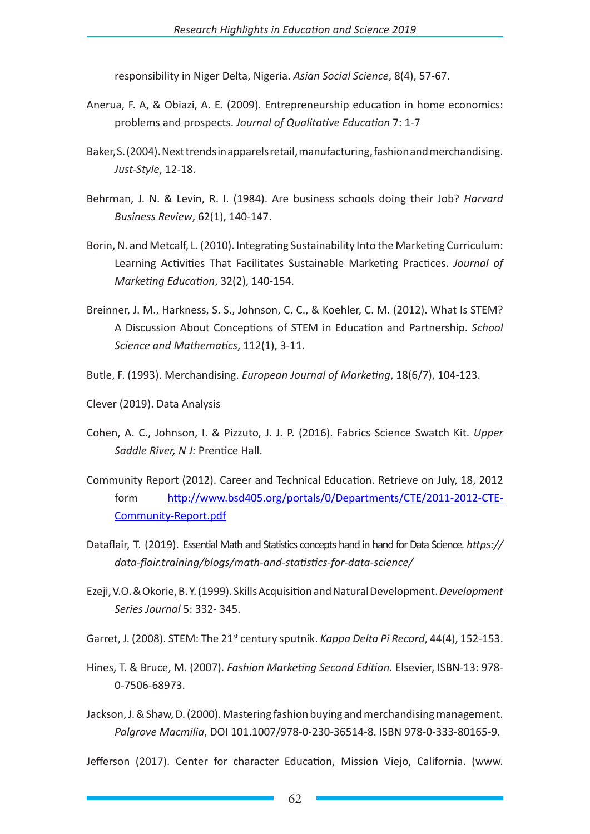responsibility in Niger Delta, Nigeria. *Asian Social Science*, 8(4), 57-67.

- Anerua, F. A, & Obiazi, A. E. (2009). Entrepreneurship education in home economics: problems and prospects. *Journal of Qualitative Education* 7: 1-7
- Baker, S. (2004). Next trends in apparels retail, manufacturing, fashion and merchandising. *Just-Style*, 12-18.
- Behrman, J. N. & Levin, R. I. (1984). Are business schools doing their Job? *Harvard Business Review*, 62(1), 140-147.
- Borin, N. and Metcalf, L. (2010). Integrating Sustainability Into the Marketing Curriculum: Learning Activities That Facilitates Sustainable Marketing Practices. *Journal of Marketing Education*, 32(2), 140-154.
- Breinner, J. M., Harkness, S. S., Johnson, C. C., & Koehler, C. M. (2012). What Is STEM? A Discussion About Conceptions of STEM in Education and Partnership. *School Science and Mathematics*, 112(1), 3-11.
- Butle, F. (1993). Merchandising. *European Journal of Marketing*, 18(6/7), 104-123.
- Clever (2019). Data Analysis
- Cohen, A. C., Johnson, I. & Pizzuto, J. J. P. (2016). Fabrics Science Swatch Kit. *Upper Saddle River, N J:* Prentice Hall.
- Community Report (2012). Career and Technical Education. Retrieve on July, 18, 2012 form http://www.bsd405.org/portals/0/Departments/CTE/2011-2012-CTE-Community-Report.pdf
- Dataflair, T. (2019). Essential Math and Statistics concepts hand in hand for Data Science. *https:// data-flair.training/blogs/math-and-statistics-for-data-science/*
- Ezeji, V.O. & Okorie, B. Y. (1999). Skills Acquisition and Natural Development. *Development Series Journal* 5: 332- 345.

Garret, J. (2008). STEM: The 21<sup>st</sup> century sputnik. *Kappa Delta Pi Record*, 44(4), 152-153.

- Hines, T. & Bruce, M. (2007). *Fashion Marketing Second Edition.* Elsevier, ISBN-13: 978- 0-7506-68973.
- Jackson, J. & Shaw, D. (2000). Mastering fashion buying and merchandising management. *Palgrove Macmilia*, DOI 101.1007/978-0-230-36514-8. ISBN 978-0-333-80165-9.

Jefferson (2017). Center for character Education, Mission Viejo, California. (www.